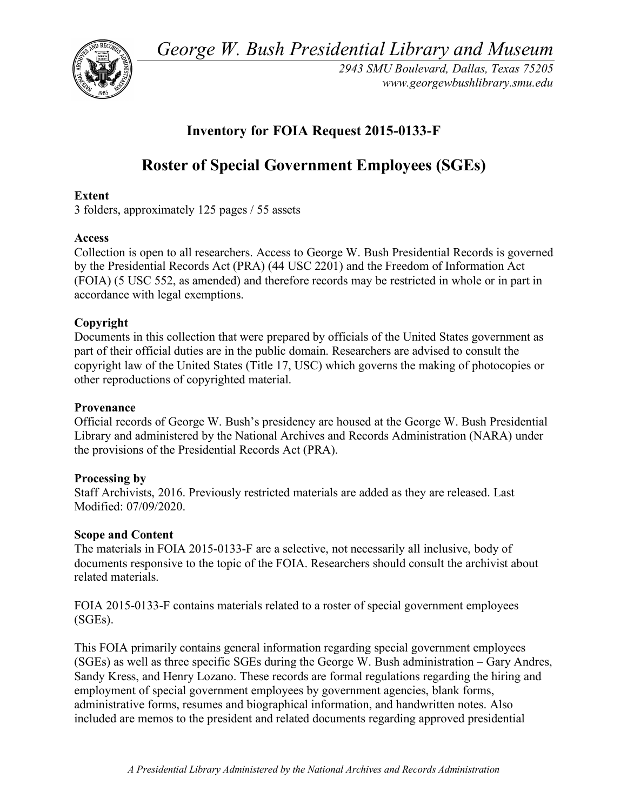*George W. Bush Presidential Library and Museum* 



*2943 SMU Boulevard, Dallas, Texas 75205 <www.georgewbushlibrary.smu.edu>* 

# **Inventory for FOIA Request 2015-0133-F**

# **Roster of Special Government Employees (SGEs)**

## **Extent**

3 folders, approximately 125 pages / 55 assets

### **Access**

 Collection is open to all researchers. Access to George W. Bush Presidential Records is governed by the Presidential Records Act (PRA) (44 USC 2201) and the Freedom of Information Act (FOIA) (5 USC 552, as amended) and therefore records may be restricted in whole or in part in accordance with legal exemptions.

# **Copyright**

 Documents in this collection that were prepared by officials of the United States government as part of their official duties are in the public domain. Researchers are advised to consult the copyright law of the United States (Title 17, USC) which governs the making of photocopies or other reproductions of copyrighted material.

### **Provenance**

 Official records of George W. Bush's presidency are housed at the George W. Bush Presidential Library and administered by the National Archives and Records Administration (NARA) under the provisions of the Presidential Records Act (PRA).

### **Processing by**

 Staff Archivists, 2016. Previously restricted materials are added as they are released. Last Modified: 07/09/2020.

### **Scope and Content**

 The materials in FOIA 2015-0133-F are a selective, not necessarily all inclusive, body of documents responsive to the topic of the FOIA. Researchers should consult the archivist about related materials.

 FOIA 2015-0133-F contains materials related to a roster of special government employees (SGEs).

 This FOIA primarily contains general information regarding special government employees (SGEs) as well as three specific SGEs during the George W. Bush administration – Gary Andres, Sandy Kress, and Henry Lozano. These records are formal regulations regarding the hiring and employment of special government employees by government agencies, blank forms, administrative forms, resumes and biographical information, and handwritten notes. Also included are memos to the president and related documents regarding approved presidential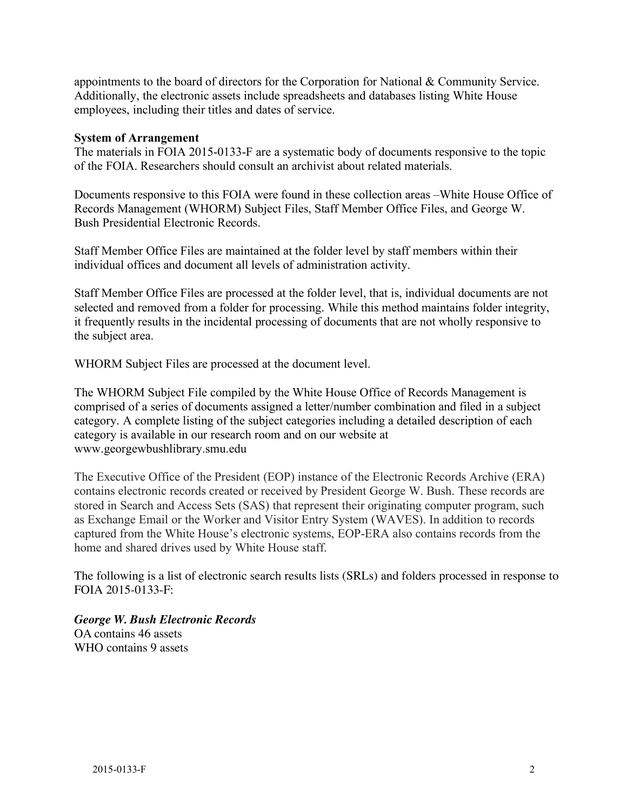appointments to the board of directors for the Corporation for National & Community Service. Additionally, the electronic assets include spreadsheets and databases listing White House employees, including their titles and dates of service.

#### **System of Arrangement**

 The materials in FOIA 2015-0133-F are a systematic body of documents responsive to the topic of the FOIA. Researchers should consult an archivist about related materials.

 Documents responsive to this FOIA were found in these collection areas –White House Office of Records Management (WHORM) Subject Files, Staff Member Office Files, and George W. Bush Presidential Electronic Records.

 Staff Member Office Files are maintained at the folder level by staff members within their individual offices and document all levels of administration activity.

 Staff Member Office Files are processed at the folder level, that is, individual documents are not selected and removed from a folder for processing. While this method maintains folder integrity, it frequently results in the incidental processing of documents that are not wholly responsive to the subject area.

WHORM Subject Files are processed at the document level.

 The WHORM Subject File compiled by the White House Office of Records Management is comprised of a series of documents assigned a letter/number combination and filed in a subject category. A complete listing of the subject categories including a detailed description of each category is available in our research room and on our website at <www.georgewbushlibrary.smu.edu>

 The Executive Office of the President (EOP) instance of the Electronic Records Archive (ERA) contains electronic records created or received by President George W. Bush. These records are stored in Search and Access Sets (SAS) that represent their originating computer program, such as Exchange Email or the Worker and Visitor Entry System (WAVES). In addition to records captured from the White House's electronic systems, EOP-ERA also contains records from the home and shared drives used by White House staff.

 The following is a list of electronic search results lists (SRLs) and folders processed in response to FOIA 2015-0133-F:

 *George W. Bush Electronic Records*  OA contains 46 assets WHO contains 9 assets